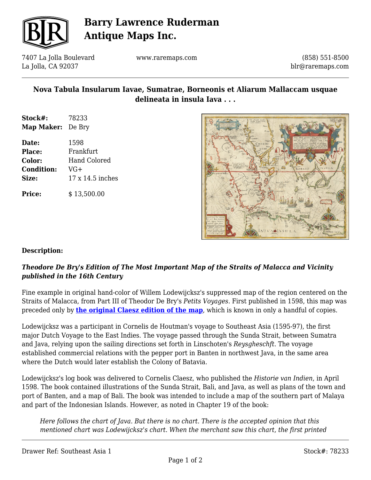

# **Barry Lawrence Ruderman Antique Maps Inc.**

7407 La Jolla Boulevard La Jolla, CA 92037

www.raremaps.com

(858) 551-8500 blr@raremaps.com

## **Nova Tabula Insularum Iavae, Sumatrae, Borneonis et Aliarum Mallaccam usquae delineata in insula Iava . . .**

| Stock#:                  | 78233 |
|--------------------------|-------|
| <b>Map Maker:</b> De Bry |       |

**Date:** 1598 **Place:** Frankfurt **Color:** Hand Colored **Condition:** VG+ **Size:** 17 x 14.5 inches

**Price:**  $$ 13,500.00$ 



#### **Description:**

### *Theodore De Bry's Edition of The Most Important Map of the Straits of Malacca and Vicinity published in the 16th Century*

Fine example in original hand-color of Willem Lodewijcksz's suppressed map of the region centered on the Straits of Malacca, from Part III of Theodor De Bry's *Petits Voyages.* First published in 1598, this map was preceded only by **[the original Claesz edition of the map](https://www.raremaps.com/gallery/detail/70322)**, which is known in only a handful of copies.

Lodewijcksz was a participant in Cornelis de Houtman's voyage to Southeast Asia (1595-97), the first major Dutch Voyage to the East Indies. The voyage passed through the Sunda Strait, between Sumatra and Java, relying upon the sailing directions set forth in Linschoten's *Reysgheschft*. The voyage established commercial relations with the pepper port in Banten in northwest Java, in the same area where the Dutch would later establish the Colony of Batavia.

Lodewijcksz's log book was delivered to Cornelis Claesz, who published the *Historie van Indien*, in April 1598. The book contained illustrations of the Sunda Strait, Bali, and Java, as well as plans of the town and port of Banten, and a map of Bali. The book was intended to include a map of the southern part of Malaya and part of the Indonesian Islands. However, as noted in Chapter 19 of the book:

*Here follows the chart of Java. But there is no chart. There is the accepted opinion that this mentioned chart was Lodewijcksz's chart. When the merchant saw this chart, the first printed*